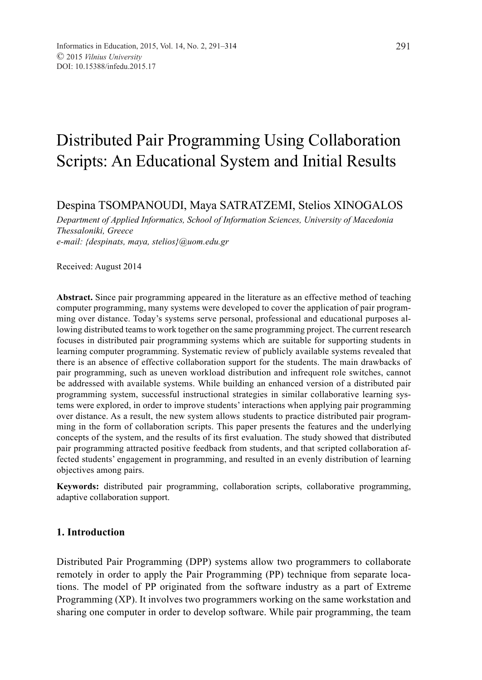# Distributed Pair Programming Using Collaboration Scripts: An Educational System and Initial Results

Despina TSOMPANOUDI, Maya SATRATZEMI, Stelios XINOGALOS

*Department of Applied Informatics, School of Information Sciences, University of Macedonia Thessaloniki, Greece e-mail: {despinats, maya, stelios}@uom.edu.gr*

Received: August 2014

**Abstract.** Since pair programming appeared in the literature as an effective method of teaching computer programming, many systems were developed to cover the application of pair programming over distance. Today's systems serve personal, professional and educational purposes allowing distributed teams to work together on the same programming project. The current research focuses in distributed pair programming systems which are suitable for supporting students in learning computer programming. Systematic review of publicly available systems revealed that there is an absence of effective collaboration support for the students. The main drawbacks of pair programming, such as uneven workload distribution and infrequent role switches, cannot be addressed with available systems. While building an enhanced version of a distributed pair programming system, successful instructional strategies in similar collaborative learning systems were explored, in order to improve students' interactions when applying pair programming over distance. As a result, the new system allows students to practice distributed pair programming in the form of collaboration scripts. This paper presents the features and the underlying concepts of the system, and the results of its first evaluation. The study showed that distributed pair programming attracted positive feedback from students, and that scripted collaboration affected students' engagement in programming, and resulted in an evenly distribution of learning objectives among pairs.

**Keywords:** distributed pair programming, collaboration scripts, collaborative programming, adaptive collaboration support.

#### **1. Introduction**

Distributed Pair Programming (DPP) systems allow two programmers to collaborate remotely in order to apply the Pair Programming (PP) technique from separate locations. The model of PP originated from the software industry as a part of Extreme Programming (XP). It involves two programmers working on the same workstation and sharing one computer in order to develop software. While pair programming, the team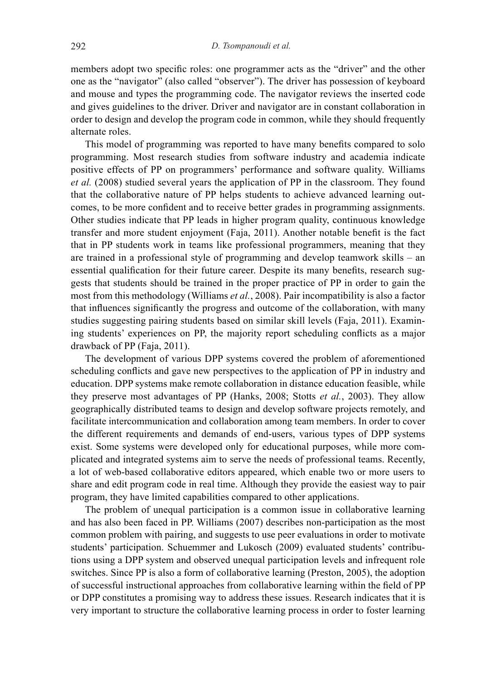members adopt two specific roles: one programmer acts as the "driver" and the other one as the "navigator" (also called "observer"). The driver has possession of keyboard and mouse and types the programming code. Τhe navigator reviews the inserted code and gives guidelines to the driver. Driver and navigator are in constant collaboration in order to design and develop the program code in common, while they should frequently alternate roles.

This model of programming was reported to have many benefits compared to solo programming. Most research studies from software industry and academia indicate positive effects of PP on programmers' performance and software quality. Williams *et al.* (2008) studied several years the application of PP in the classroom. They found that the collaborative nature of PP helps students to achieve advanced learning outcomes, to be more confident and to receive better grades in programming assignments. Other studies indicate that PP leads in higher program quality, continuous knowledge transfer and more student enjoyment (Faja, 2011). Another notable benefit is the fact that in PP students work in teams like professional programmers, meaning that they are trained in a professional style of programming and develop teamwork skills – an essential qualification for their future career. Despite its many benefits, research suggests that students should be trained in the proper practice of PP in order to gain the most from this methodology (Williams *et al.*, 2008). Pair incompatibility is also a factor that influences significantly the progress and outcome of the collaboration, with many studies suggesting pairing students based on similar skill levels (Faja, 2011). Examining students' experiences on PP, the majority report scheduling conflicts as a major drawback of PP (Faja, 2011).

The development of various DPP systems covered the problem of aforementioned scheduling conflicts and gave new perspectives to the application of PP in industry and education. DPP systems make remote collaboration in distance education feasible, while they preserve most advantages of PP (Hanks, 2008; Stotts *et al.*, 2003). They allow geographically distributed teams to design and develop software projects remotely, and facilitate intercommunication and collaboration among team members. In order to cover the different requirements and demands of end-users, various types of DPP systems exist. Some systems were developed only for educational purposes, while more complicated and integrated systems aim to serve the needs of professional teams. Recently, a lot of web-based collaborative editors appeared, which enable two or more users to share and edit program code in real time. Although they provide the easiest way to pair program, they have limited capabilities compared to other applications.

The problem of unequal participation is a common issue in collaborative learning and has also been faced in PP. Williams (2007) describes non-participation as the most common problem with pairing, and suggests to use peer evaluations in order to motivate students' participation. Schuemmer and Lukosch (2009) evaluated students' contributions using a DPP system and observed unequal participation levels and infrequent role switches. Since PP is also a form of collaborative learning (Preston, 2005), the adoption of successful instructional approaches from collaborative learning within the field of PP or DPP constitutes a promising way to address these issues. Research indicates that it is very important to structure the collaborative learning process in order to foster learning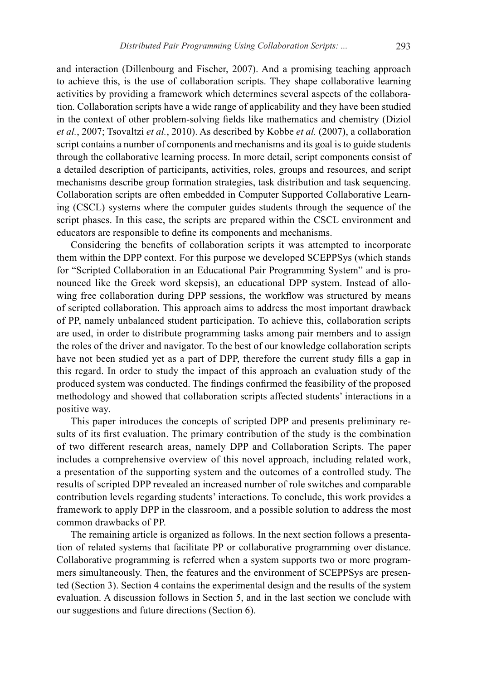and interaction (Dillenbourg and Fischer, 2007). And a promising teaching approach to achieve this, is the use of collaboration scripts. They shape collaborative learning activities by providing a framework which determines several aspects of the collaboration. Collaboration scripts have a wide range of applicability and they have been studied in the context of other problem-solving fields like mathematics and chemistry (Diziol *et al.*, 2007; Tsovaltzi *et al.*, 2010). As described by Kobbe *et al.* (2007), a collaboration script contains a number of components and mechanisms and its goal is to guide students through the collaborative learning process. In more detail, script components consist of a detailed description of participants, activities, roles, groups and resources, and script mechanisms describe group formation strategies, task distribution and task sequencing. Collaboration scripts are often embedded in Computer Supported Collaborative Learning (CSCL) systems where the computer guides students through the sequence of the script phases. In this case, the scripts are prepared within the CSCL environment and educators are responsible to define its components and mechanisms.

Considering the benefits of collaboration scripts it was attempted to incorporate them within the DPP context. For this purpose we developed SCEPPSys (which stands for "Scripted Collaboration in an Educational Pair Programming System" and is pronounced like the Greek word skepsis), an educational DPP system. Instead of allowing free collaboration during DPP sessions, the workflow was structured by means of scripted collaboration. This approach aims to address the most important drawback of PP, namely unbalanced student participation. To achieve this, collaboration scripts are used, in order to distribute programming tasks among pair members and to assign the roles of the driver and navigator. To the best of our knowledge collaboration scripts have not been studied yet as a part of DPP, therefore the current study fills a gap in this regard. In order to study the impact of this approach an evaluation study of the produced system was conducted. The findings confirmed the feasibility of the proposed methodology and showed that collaboration scripts affected students' interactions in a positive way.

This paper introduces the concepts of scripted DPP and presents preliminary results of its first evaluation. The primary contribution of the study is the combination of two different research areas, namely DPP and Collaboration Scripts. The paper includes a comprehensive overview of this novel approach, including related work, a presentation of the supporting system and the outcomes of a controlled study. The results of scripted DPP revealed an increased number of role switches and comparable contribution levels regarding students' interactions. To conclude, this work provides a framework to apply DPP in the classroom, and a possible solution to address the most common drawbacks of PP.

The remaining article is organized as follows. In the next section follows a presentation of related systems that facilitate PP or collaborative programming over distance. Collaborative programming is referred when a system supports two or more programmers simultaneously. Then, the features and the environment of SCEPPSys are presented (Section 3). Section 4 contains the experimental design and the results of the system evaluation. A discussion follows in Section 5, and in the last section we conclude with our suggestions and future directions (Section 6).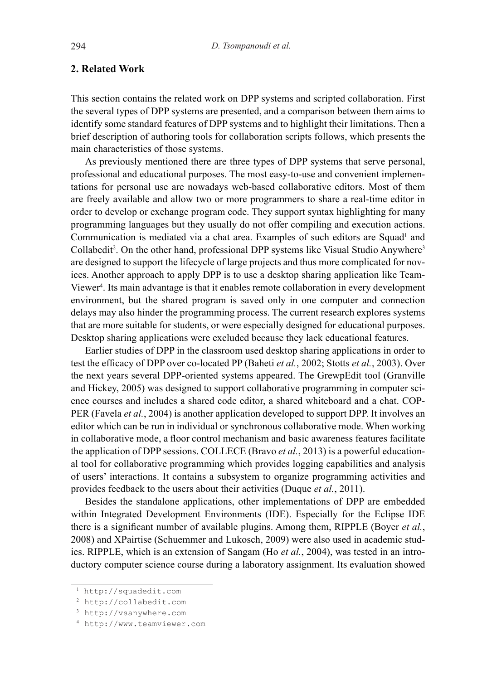### **2. Related Work**

This section contains the related work on DPP systems and scripted collaboration. First the several types of DPP systems are presented, and a comparison between them aims to identify some standard features of DPP systems and to highlight their limitations. Then a brief description of authoring tools for collaboration scripts follows, which presents the main characteristics of those systems.

As previously mentioned there are three types of DPP systems that serve personal, professional and educational purposes. The most easy-to-use and convenient implementations for personal use are nowadays web-based collaborative editors. Most of them are freely available and allow two or more programmers to share a real-time editor in order to develop or exchange program code. They support syntax highlighting for many programming languages but they usually do not offer compiling and execution actions. Communication is mediated via a chat area. Examples of such editors are Squad<sup>1</sup> and Collabedit<sup>2</sup>. On the other hand, professional DPP systems like Visual Studio Anywhere<sup>3</sup> are designed to support the lifecycle of large projects and thus more complicated for novices. Another approach to apply DPP is to use a desktop sharing application like Team-Viewer<sup>4</sup>. Its main advantage is that it enables remote collaboration in every development environment, but the shared program is saved only in one computer and connection delays may also hinder the programming process. The current research explores systems that are more suitable for students, or were especially designed for educational purposes. Desktop sharing applications were excluded because they lack educational features.

Earlier studies of DPP in the classroom used desktop sharing applications in order to test the efficacy of DPP over co-located PP (Baheti *et al.*, 2002; Stotts *et al.*, 2003). Over the next years several DPP-oriented systems appeared. The GrewpEdit tool (Granville and Hickey, 2005) was designed to support collaborative programming in computer science courses and includes a shared code editor, a shared whiteboard and a chat. COP-PER (Favela *et al.*, 2004) is another application developed to support DPP. It involves an editor which can be run in individual or synchronous collaborative mode. When working in collaborative mode, a floor control mechanism and basic awareness features facilitate the application of DPP sessions. COLLECE (Bravo *et al.*, 2013) is a powerful educational tool for collaborative programming which provides logging capabilities and analysis of users' interactions. It contains a subsystem to organize programming activities and provides feedback to the users about their activities (Duque *et al.*, 2011).

Besides the standalone applications, other implementations of DPP are embedded within Integrated Development Environments (IDE). Especially for the Eclipse IDE there is a significant number of available plugins. Among them, RIPPLE (Boyer *et al.*, 2008) and XPairtise (Schuemmer and Lukosch, 2009) were also used in academic studies. RIPPLE, which is an extension of Sangam (Ho *et al.*, 2004), was tested in an introductory computer science course during a laboratory assignment. Its evaluation showed

<sup>1</sup> http://squadedit.com

<sup>2</sup> http://collabedit.com

<sup>3</sup> http://vsanywhere.com

<sup>4</sup> http://www.teamviewer.com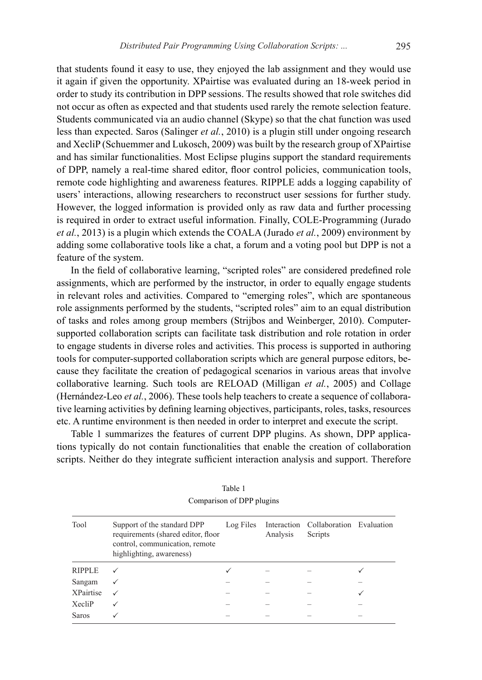that students found it easy to use, they enjoyed the lab assignment and they would use it again if given the opportunity. XPairtise was evaluated during an 18-week period in order to study its contribution in DPP sessions. The results showed that role switches did not occur as often as expected and that students used rarely the remote selection feature. Students communicated via an audio channel (Skype) so that the chat function was used less than expected. Saros (Salinger *et al.*, 2010) is a plugin still under ongoing research and XecliP (Schuemmer and Lukosch, 2009) was built by the research group of XPairtise and has similar functionalities. Most Eclipse plugins support the standard requirements of DPP, namely a real-time shared editor, floor control policies, communication tools, remote code highlighting and awareness features. RIPPLE adds a logging capability of users' interactions, allowing researchers to reconstruct user sessions for further study. However, the logged information is provided only as raw data and further processing is required in order to extract useful information. Finally, COLE-Programming (Jurado *et al.*, 2013) is a plugin which extends the COALA (Jurado *et al.*, 2009) environment by adding some collaborative tools like a chat, a forum and a voting pool but DPP is not a feature of the system.

In the field of collaborative learning, "scripted roles" are considered predefined role assignments, which are performed by the instructor, in order to equally engage students in relevant roles and activities. Compared to "emerging roles", which are spontaneous role assignments performed by the students, "scripted roles" aim to an equal distribution of tasks and roles among group members (Strijbos and Weinberger, 2010). Computersupported collaboration scripts can facilitate task distribution and role rotation in order to engage students in diverse roles and activities. This process is supported in authoring tools for computer-supported collaboration scripts which are general purpose editors, because they facilitate the creation of pedagogical scenarios in various areas that involve collaborative learning. Such tools are RELOAD (Milligan *et al.*, 2005) and Collage (Hernández-Leo *et al.*, 2006). These tools help teachers to create a sequence of collaborative learning activities by defining learning objectives, participants, roles, tasks, resources etc. A runtime environment is then needed in order to interpret and execute the script.

Table 1 summarizes the features of current DPP plugins. As shown, DPP applications typically do not contain functionalities that enable the creation of collaboration scripts. Neither do they integrate sufficient interaction analysis and support. Therefore

| Tool             | Support of the standard DPP<br>requirements (shared editor, floor<br>control, communication, remote<br>highlighting, awareness) | Log Files | Analysis | Interaction Collaboration Evaluation<br>Scripts |   |
|------------------|---------------------------------------------------------------------------------------------------------------------------------|-----------|----------|-------------------------------------------------|---|
| <b>RIPPLE</b>    |                                                                                                                                 |           |          |                                                 |   |
| Sangam           | ✓                                                                                                                               |           |          |                                                 |   |
| <b>XPairtise</b> | ✓                                                                                                                               |           |          |                                                 | ✓ |
| XecliP           |                                                                                                                                 |           |          |                                                 |   |
| Saros            |                                                                                                                                 |           |          |                                                 |   |
|                  |                                                                                                                                 |           |          |                                                 |   |

Table 1 Comparison of DPP plugins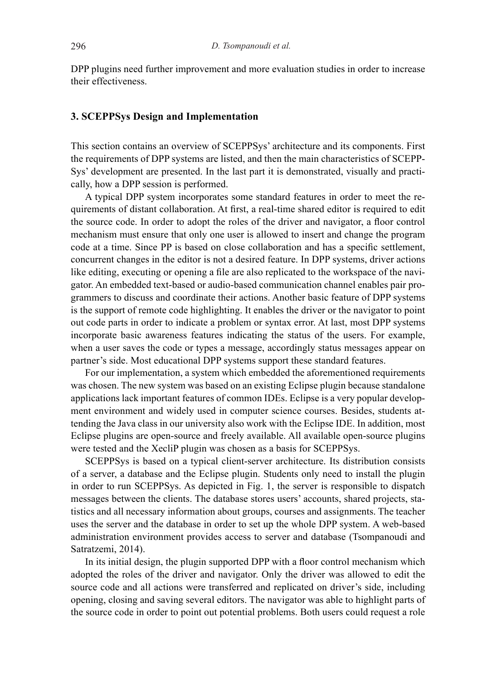DPP plugins need further improvement and more evaluation studies in order to increase their effectiveness.

#### **3. SCEPPSys Design and Implementation**

This section contains an overview of SCEPPSys' architecture and its components. First the requirements of DPP systems are listed, and then the main characteristics of SCEPP-Sys' development are presented. In the last part it is demonstrated, visually and practically, how a DPP session is performed.

A typical DPP system incorporates some standard features in order to meet the requirements of distant collaboration. At first, a real-time shared editor is required to edit the source code. In order to adopt the roles of the driver and navigator, a floor control mechanism must ensure that only one user is allowed to insert and change the program code at a time. Since PP is based on close collaboration and has a specific settlement, concurrent changes in the editor is not a desired feature. In DPP systems, driver actions like editing, executing or opening a file are also replicated to the workspace of the navigator. An embedded text-based or audio-based communication channel enables pair programmers to discuss and coordinate their actions. Another basic feature of DPP systems is the support of remote code highlighting. It enables the driver or the navigator to point out code parts in order to indicate a problem or syntax error. At last, most DPP systems incorporate basic awareness features indicating the status of the users. For example, when a user saves the code or types a message, accordingly status messages appear on partner's side. Most educational DPP systems support these standard features.

For our implementation, a system which embedded the aforementioned requirements was chosen. The new system was based on an existing Eclipse plugin because standalone applications lack important features of common IDEs. Eclipse is a very popular development environment and widely used in computer science courses. Besides, students attending the Java class in our university also work with the Eclipse IDE. In addition, most Eclipse plugins are open-source and freely available. All available open-source plugins were tested and the XecliP plugin was chosen as a basis for SCEPPSys.

SCEPPSys is based on a typical client-server architecture. Its distribution consists of a server, a database and the Eclipse plugin. Students only need to install the plugin in order to run SCEPPSys. As depicted in Fig. 1, the server is responsible to dispatch messages between the clients. The database stores users' accounts, shared projects, statistics and all necessary information about groups, courses and assignments. The teacher uses the server and the database in order to set up the whole DPP system. A web-based administration environment provides access to server and database (Tsompanoudi and Satratzemi, 2014).

In its initial design, the plugin supported DPP with a floor control mechanism which adopted the roles of the driver and navigator. Only the driver was allowed to edit the source code and all actions were transferred and replicated on driver's side, including opening, closing and saving several editors. The navigator was able to highlight parts of the source code in order to point out potential problems. Both users could request a role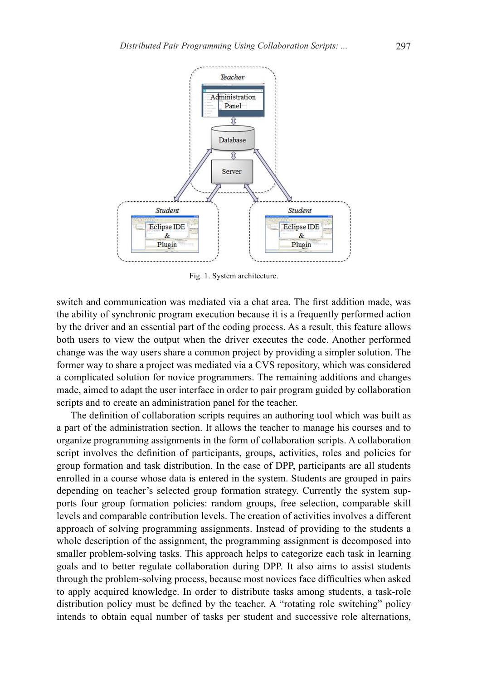

Fig. 1. System architecture.

switch and communication was mediated via a chat area. The first addition made, was the ability of synchronic program execution because it is a frequently performed action by the driver and an essential part of the coding process. As a result, this feature allows both users to view the output when the driver executes the code. Another performed change was the way users share a common project by providing a simpler solution. The former way to share a project was mediated via a CVS repository, which was considered a complicated solution for novice programmers. The remaining additions and changes made, aimed to adapt the user interface in order to pair program guided by collaboration scripts and to create an administration panel for the teacher.

The definition of collaboration scripts requires an authoring tool which was built as a part of the administration section. It allows the teacher to manage his courses and to organize programming assignments in the form of collaboration scripts. A collaboration script involves the definition of participants, groups, activities, roles and policies for group formation and task distribution. In the case of DPP, participants are all students enrolled in a course whose data is entered in the system. Students are grouped in pairs depending on teacher's selected group formation strategy. Currently the system supports four group formation policies: random groups, free selection, comparable skill levels and comparable contribution levels. The creation of activities involves a different approach of solving programming assignments. Instead of providing to the students a whole description of the assignment, the programming assignment is decomposed into smaller problem-solving tasks. This approach helps to categorize each task in learning goals and to better regulate collaboration during DPP. It also aims to assist students through the problem-solving process, because most novices face difficulties when asked to apply acquired knowledge. In order to distribute tasks among students, a task-role distribution policy must be defined by the teacher. A "rotating role switching" policy intends to obtain equal number of tasks per student and successive role alternations,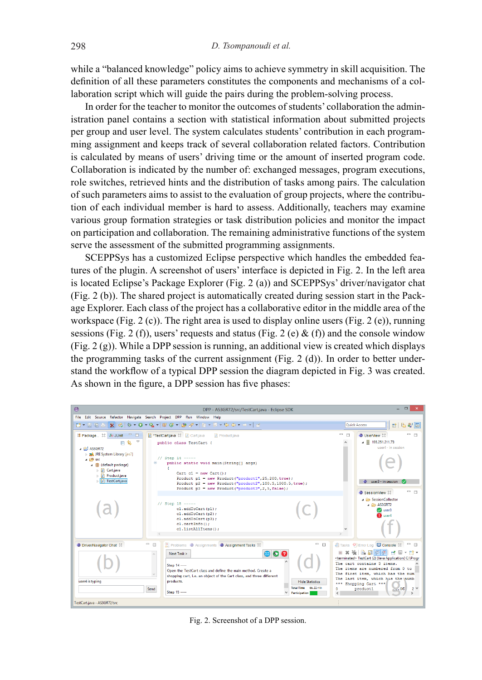while a "balanced knowledge" policy aims to achieve symmetry in skill acquisition. The definition of all these parameters constitutes the components and mechanisms of a collaboration script which will guide the pairs during the problem-solving process.

In order for the teacher to monitor the outcomes of students' collaboration the administration panel contains a section with statistical information about submitted projects per group and user level. The system calculates students' contribution in each programming assignment and keeps track of several collaboration related factors. Contribution is calculated by means of users' driving time or the amount of inserted program code. Collaboration is indicated by the number of: exchanged messages, program executions, role switches, retrieved hints and the distribution of tasks among pairs. The calculation of such parameters aims to assist to the evaluation of group projects, where the contribution of each individual member is hard to assess. Additionally, teachers may examine various group formation strategies or task distribution policies and monitor the impact on participation and collaboration. The remaining administrative functions of the system serve the assessment of the submitted programming assignments.

SCEPPSys has a customized Eclipse perspective which handles the embedded features of the plugin. A screenshot of users' interface is depicted in Fig. 2. In the left area is located Eclipse's Package Explorer (Fig. 2 (a)) and SCEPPSys' driver/navigator chat (Fig. 2 (b)). The shared project is automatically created during session start in the Package Explorer. Each class of the project has a collaborative editor in the middle area of the workspace (Fig. 2 (c)). The right area is used to display online users (Fig. 2 (e)), running sessions (Fig. 2 (f)), users' requests and status (Fig. 2 (e) & (f)) and the console window (Fig. 2 (g)). While a DPP session is running, an additional view is created which displays the programming tasks of the current assignment (Fig. 2 (d)). In order to better understand the workflow of a typical DPP session the diagram depicted in Fig. 3 was created. As shown in the figure, a DPP session has five phases:



Fig. 2. Screenshot of a DPP session.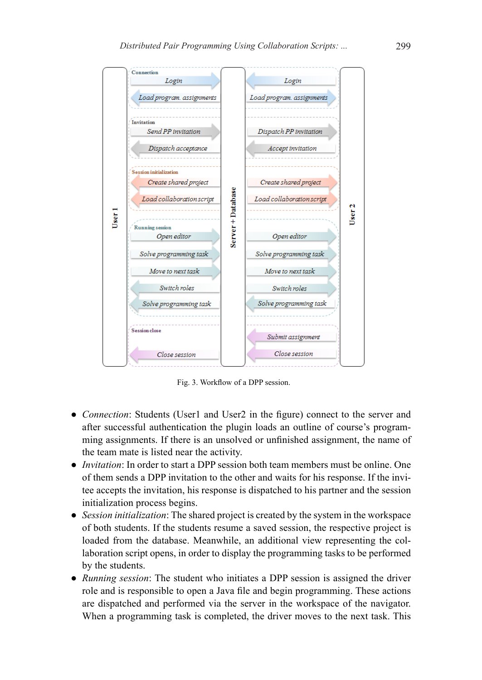

Fig. 3. Workflow of a DPP session.

- *Connection*: Students (User1 and User2 in the figure) connect to the server and after successful authentication the plugin loads an outline of course's programming assignments. If there is an unsolved or unfinished assignment, the name of the team mate is listed near the activity.
- *Invitation*: In order to start a DPP session both team members must be online. One of them sends a DPP invitation to the other and waits for his response. If the invitee accepts the invitation, his response is dispatched to his partner and the session initialization process begins.
- *Session initialization*: The shared project is created by the system in the workspace of both students. If the students resume a saved session, the respective project is loaded from the database. Meanwhile, an additional view representing the collaboration script opens, in order to display the programming tasks to be performed by the students.
- *Running session*: The student who initiates a DPP session is assigned the driver role and is responsible to open a Java file and begin programming. These actions are dispatched and performed via the server in the workspace of the navigator. When a programming task is completed, the driver moves to the next task. This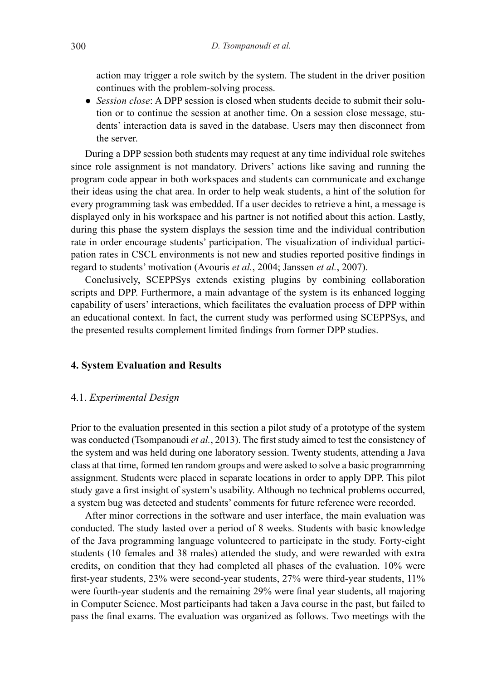action may trigger a role switch by the system. The student in the driver position continues with the problem-solving process.

• *Session close*: A DPP session is closed when students decide to submit their solution or to continue the session at another time. On a session close message, students' interaction data is saved in the database. Users may then disconnect from the server.

During a DPP session both students may request at any time individual role switches since role assignment is not mandatory. Drivers' actions like saving and running the program code appear in both workspaces and students can communicate and exchange their ideas using the chat area. In order to help weak students, a hint of the solution for every programming task was embedded. If a user decides to retrieve a hint, a message is displayed only in his workspace and his partner is not notified about this action. Lastly, during this phase the system displays the session time and the individual contribution rate in order encourage students' participation. The visualization of individual participation rates in CSCL environments is not new and studies reported positive findings in regard to students' motivation (Avouris *et al.*, 2004; Janssen *et al.*, 2007).

Conclusively, SCEPPSys extends existing plugins by combining collaboration scripts and DPP. Furthermore, a main advantage of the system is its enhanced logging capability of users' interactions, which facilitates the evaluation process of DPP within an educational context. In fact, the current study was performed using SCEPPSys, and the presented results complement limited findings from former DPP studies.

#### **4. System Evaluation and Results**

#### 4.1. *Experimental Design*

Prior to the evaluation presented in this section a pilot study of a prototype of the system was conducted (Tsompanoudi *et al.*, 2013). The first study aimed to test the consistency of the system and was held during one laboratory session. Twenty students, attending a Java class at that time, formed ten random groups and were asked to solve a basic programming assignment. Students were placed in separate locations in order to apply DPP. This pilot study gave a first insight of system's usability. Although no technical problems occurred, a system bug was detected and students' comments for future reference were recorded.

After minor corrections in the software and user interface, the main evaluation was conducted. The study lasted over a period of 8 weeks. Students with basic knowledge of the Java programming language volunteered to participate in the study. Forty-eight students (10 females and 38 males) attended the study, and were rewarded with extra credits, on condition that they had completed all phases of the evaluation. 10% were first-year students, 23% were second-year students, 27% were third-year students, 11% were fourth-year students and the remaining 29% were final year students, all majoring in Computer Science. Most participants had taken a Java course in the past, but failed to pass the final exams. The evaluation was organized as follows. Two meetings with the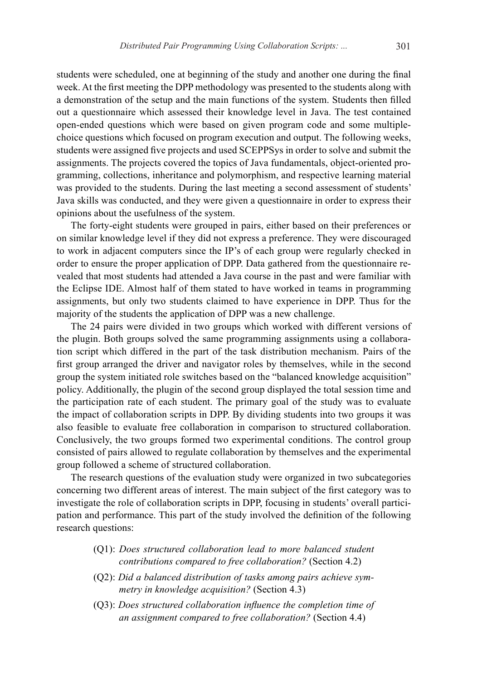students were scheduled, one at beginning of the study and another one during the final week. At the first meeting the DPP methodology was presented to the students along with a demonstration of the setup and the main functions of the system. Students then filled out a questionnaire which assessed their knowledge level in Java. The test contained open-ended questions which were based on given program code and some multiplechoice questions which focused on program execution and output. The following weeks, students were assigned five projects and used SCEPPSys in order to solve and submit the assignments. The projects covered the topics of Java fundamentals, object-oriented programming, collections, inheritance and polymorphism, and respective learning material was provided to the students. During the last meeting a second assessment of students' Java skills was conducted, and they were given a questionnaire in order to express their opinions about the usefulness of the system.

The forty-eight students were grouped in pairs, either based on their preferences or on similar knowledge level if they did not express a preference. They were discouraged to work in adjacent computers since the IP's of each group were regularly checked in order to ensure the proper application of DPP. Data gathered from the questionnaire revealed that most students had attended a Java course in the past and were familiar with the Eclipse IDE. Almost half of them stated to have worked in teams in programming assignments, but only two students claimed to have experience in DPP. Thus for the majority of the students the application of DPP was a new challenge.

The 24 pairs were divided in two groups which worked with different versions of the plugin. Both groups solved the same programming assignments using a collaboration script which differed in the part of the task distribution mechanism. Pairs of the first group arranged the driver and navigator roles by themselves, while in the second group the system initiated role switches based on the "balanced knowledge acquisition" policy. Additionally, the plugin of the second group displayed the total session time and the participation rate of each student. The primary goal of the study was to evaluate the impact of collaboration scripts in DPP. By dividing students into two groups it was also feasible to evaluate free collaboration in comparison to structured collaboration. Conclusively, the two groups formed two experimental conditions. The control group consisted of pairs allowed to regulate collaboration by themselves and the experimental group followed a scheme of structured collaboration.

The research questions of the evaluation study were organized in two subcategories concerning two different areas of interest. The main subject of the first category was to investigate the role of collaboration scripts in DPP, focusing in students' overall participation and performance. This part of the study involved the definition of the following research questions:

- (Q1): *Does structured collaboration lead to more balanced student contributions compared to free collaboration?* (Section 4.2)
- (Q2): *Did a balanced distribution of tasks among pairs achieve symmetry in knowledge acquisition?* (Section 4.3)
- (Q3): *Does structured collaboration influence the completion time of an assignment compared to free collaboration?* (Section 4.4)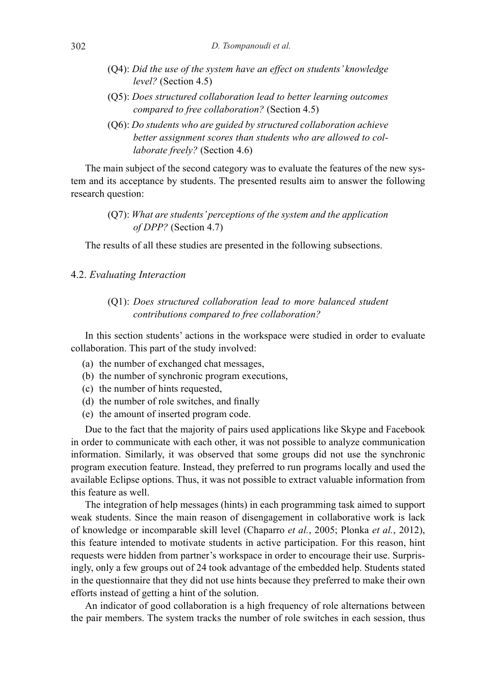- (Q4): *Did the use of the system have an effect on students' knowledge level?* (Section 4.5)
- (Q5): *Does structured collaboration lead to better learning outcomes compared to free collaboration?* (Section 4.5)
- (Q6): *Do students who are guided by structured collaboration achieve better assignment scores than students who are allowed to collaborate freely?* (Section 4.6)

The main subject of the second category was to evaluate the features of the new system and its acceptance by students. The presented results aim to answer the following research question:

> (Q7): *What are students' perceptions of the system and the application of DPP?* (Section 4.7)

The results of all these studies are presented in the following subsections.

#### 4.2. *Evaluating Interaction*

#### (Q1): *Does structured collaboration lead to more balanced student contributions compared to free collaboration?*

In this section students' actions in the workspace were studied in order to evaluate collaboration. This part of the study involved:

- (a) the number of exchanged chat messages,
- (b) the number of synchronic program executions,
- (c) the number of hints requested,
- (d) the number of role switches, and finally
- (e) the amount of inserted program code.

Due to the fact that the majority of pairs used applications like Skype and Facebook in order to communicate with each other, it was not possible to analyze communication information. Similarly, it was observed that some groups did not use the synchronic program execution feature. Instead, they preferred to run programs locally and used the available Eclipse options. Thus, it was not possible to extract valuable information from this feature as well.

The integration of help messages (hints) in each programming task aimed to support weak students. Since the main reason of disengagement in collaborative work is lack of knowledge or incomparable skill level (Chaparro *et al.*, 2005; Plonka *et al.*, 2012), this feature intended to motivate students in active participation. For this reason, hint requests were hidden from partner's workspace in order to encourage their use. Surprisingly, only a few groups out of 24 took advantage of the embedded help. Students stated in the questionnaire that they did not use hints because they preferred to make their own efforts instead of getting a hint of the solution.

An indicator of good collaboration is a high frequency of role alternations between the pair members. The system tracks the number of role switches in each session, thus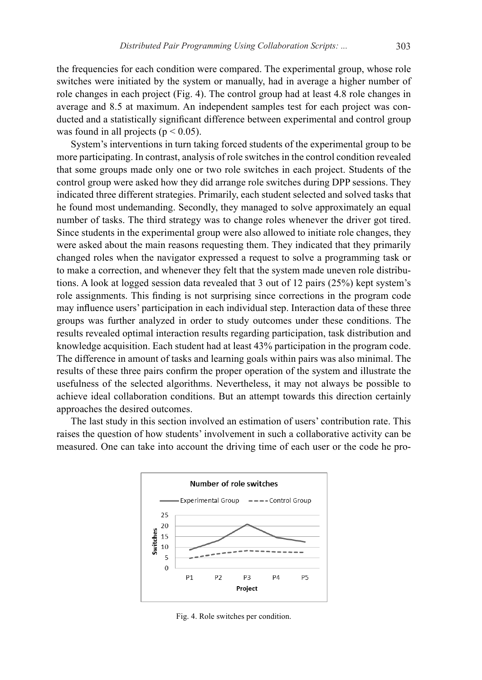the frequencies for each condition were compared. The experimental group, whose role switches were initiated by the system or manually, had in average a higher number of role changes in each project (Fig. 4). The control group had at least 4.8 role changes in average and 8.5 at maximum. An independent samples test for each project was conducted and a statistically significant difference between experimental and control group was found in all projects ( $p < 0.05$ ).

System's interventions in turn taking forced students of the experimental group to be more participating. In contrast, analysis of role switches in the control condition revealed that some groups made only one or two role switches in each project. Students of the control group were asked how they did arrange role switches during DPP sessions. They indicated three different strategies. Primarily, each student selected and solved tasks that he found most undemanding. Secondly, they managed to solve approximately an equal number of tasks. The third strategy was to change roles whenever the driver got tired. Since students in the experimental group were also allowed to initiate role changes, they were asked about the main reasons requesting them. They indicated that they primarily changed roles when the navigator expressed a request to solve a programming task or to make a correction, and whenever they felt that the system made uneven role distributions. A look at logged session data revealed that 3 out of 12 pairs (25%) kept system's role assignments. This finding is not surprising since corrections in the program code may influence users' participation in each individual step. Interaction data of these three groups was further analyzed in order to study outcomes under these conditions. The results revealed optimal interaction results regarding participation, task distribution and knowledge acquisition. Each student had at least 43% participation in the program code. The difference in amount of tasks and learning goals within pairs was also minimal. The results of these three pairs confirm the proper operation of the system and illustrate the usefulness of the selected algorithms. Nevertheless, it may not always be possible to achieve ideal collaboration conditions. But an attempt towards this direction certainly approaches the desired outcomes.

The last study in this section involved an estimation of users' contribution rate. This raises the question of how students' involvement in such a collaborative activity can be measured. One can take into account the driving time of each user or the code he pro-



Fig. 4. Role switches per condition.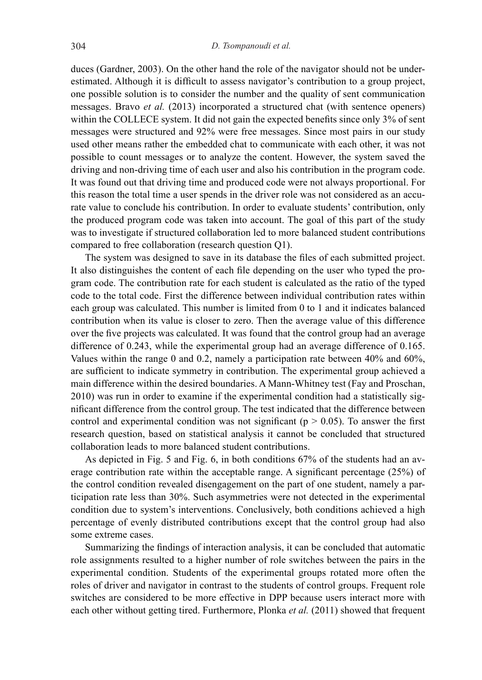duces (Gardner, 2003). On the other hand the role of the navigator should not be underestimated. Although it is difficult to assess navigator's contribution to a group project, one possible solution is to consider the number and the quality of sent communication messages. Bravo *et al.* (2013) incorporated a structured chat (with sentence openers) within the COLLECE system. It did not gain the expected benefits since only 3% of sent messages were structured and 92% were free messages. Since most pairs in our study used other means rather the embedded chat to communicate with each other, it was not possible to count messages or to analyze the content. However, the system saved the driving and non-driving time of each user and also his contribution in the program code. It was found out that driving time and produced code were not always proportional. For this reason the total time a user spends in the driver role was not considered as an accurate value to conclude his contribution. In order to evaluate students' contribution, only the produced program code was taken into account. The goal of this part of the study was to investigate if structured collaboration led to more balanced student contributions compared to free collaboration (research question Q1).

The system was designed to save in its database the files of each submitted project. It also distinguishes the content of each file depending on the user who typed the program code. The contribution rate for each student is calculated as the ratio of the typed code to the total code. First the difference between individual contribution rates within each group was calculated. This number is limited from 0 to 1 and it indicates balanced contribution when its value is closer to zero. Then the average value of this difference over the five projects was calculated. It was found that the control group had an average difference of 0.243, while the experimental group had an average difference of 0.165. Values within the range 0 and 0.2, namely a participation rate between 40% and 60%, are sufficient to indicate symmetry in contribution. The experimental group achieved a main difference within the desired boundaries. A Mann-Whitney test (Fay and Proschan, 2010) was run in order to examine if the experimental condition had a statistically significant difference from the control group. The test indicated that the difference between control and experimental condition was not significant ( $p > 0.05$ ). To answer the first research question, based on statistical analysis it cannot be concluded that structured collaboration leads to more balanced student contributions.

As depicted in Fig. 5 and Fig. 6, in both conditions 67% of the students had an average contribution rate within the acceptable range. A significant percentage (25%) of the control condition revealed disengagement on the part of one student, namely a participation rate less than 30%. Such asymmetries were not detected in the experimental condition due to system's interventions. Conclusively, both conditions achieved a high percentage of evenly distributed contributions except that the control group had also some extreme cases.

Summarizing the findings of interaction analysis, it can be concluded that automatic role assignments resulted to a higher number of role switches between the pairs in the experimental condition. Students of the experimental groups rotated more often the roles of driver and navigator in contrast to the students of control groups. Frequent role switches are considered to be more effective in DPP because users interact more with each other without getting tired. Furthermore, Plonka *et al.* (2011) showed that frequent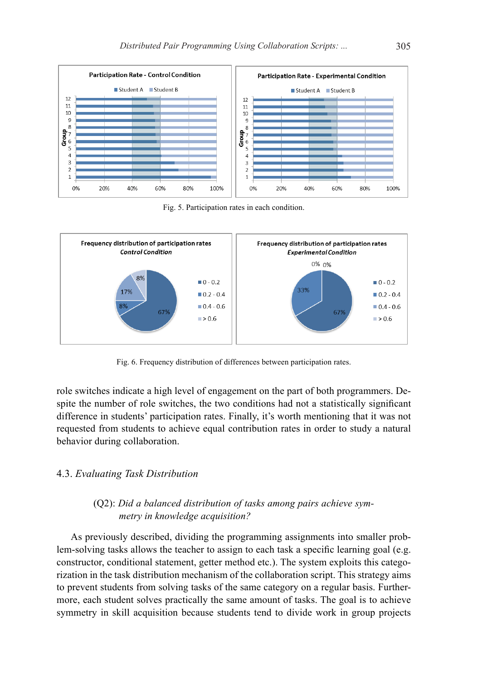

Fig. 5. Participation rates in each condition.



Fig. 6. Frequency distribution of differences between participation rates.

role switches indicate a high level of engagement on the part of both programmers. Despite the number of role switches, the two conditions had not a statistically significant difference in students' participation rates. Finally, it's worth mentioning that it was not requested from students to achieve equal contribution rates in order to study a natural behavior during collaboration.

#### 4.3. *Evaluating Task Distribution*

#### (Q2): *Did a balanced distribution of tasks among pairs achieve symmetry in knowledge acquisition?*

As previously described, dividing the programming assignments into smaller problem-solving tasks allows the teacher to assign to each task a specific learning goal (e.g. constructor, conditional statement, getter method etc.). The system exploits this categorization in the task distribution mechanism of the collaboration script. This strategy aims to prevent students from solving tasks of the same category on a regular basis. Furthermore, each student solves practically the same amount of tasks. The goal is to achieve symmetry in skill acquisition because students tend to divide work in group projects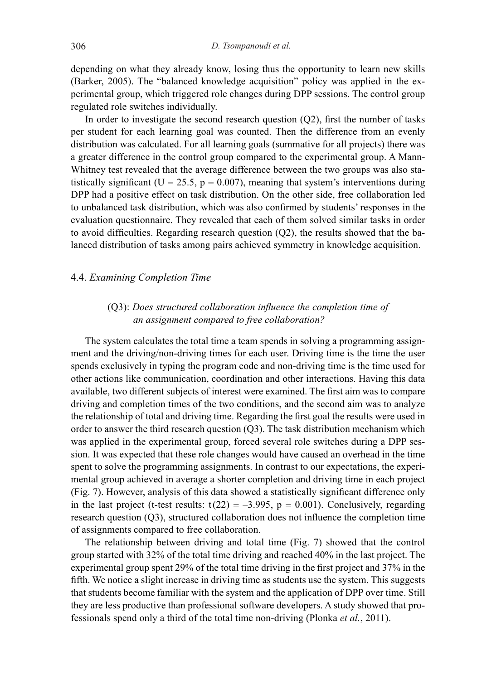depending on what they already know, losing thus the opportunity to learn new skills (Barker, 2005). The "balanced knowledge acquisition" policy was applied in the experimental group, which triggered role changes during DPP sessions. The control group regulated role switches individually.

In order to investigate the second research question  $(O2)$ , first the number of tasks per student for each learning goal was counted. Then the difference from an evenly distribution was calculated. For all learning goals (summative for all projects) there was a greater difference in the control group compared to the experimental group. A Mann-Whitney test revealed that the average difference between the two groups was also statistically significant (U = 25.5,  $p = 0.007$ ), meaning that system's interventions during DPP had a positive effect on task distribution. On the other side, free collaboration led to unbalanced task distribution, which was also confirmed by students' responses in the evaluation questionnaire. They revealed that each of them solved similar tasks in order to avoid difficulties. Regarding research question (Q2), the results showed that the balanced distribution of tasks among pairs achieved symmetry in knowledge acquisition.

#### 4.4. *Examining Completion Time*

#### (Q3): *Does structured collaboration influence the completion time of an assignment compared to free collaboration?*

The system calculates the total time a team spends in solving a programming assignment and the driving/non-driving times for each user. Driving time is the time the user spends exclusively in typing the program code and non-driving time is the time used for other actions like communication, coordination and other interactions. Having this data available, two different subjects of interest were examined. The first aim was to compare driving and completion times of the two conditions, and the second aim was to analyze the relationship of total and driving time. Regarding the first goal the results were used in order to answer the third research question (Q3). The task distribution mechanism which was applied in the experimental group, forced several role switches during a DPP session. It was expected that these role changes would have caused an overhead in the time spent to solve the programming assignments. In contrast to our expectations, the experimental group achieved in average a shorter completion and driving time in each project (Fig. 7). However, analysis of this data showed a statistically significant difference only in the last project (t-test results:  $t(22) = -3.995$ ,  $p = 0.001$ ). Conclusively, regarding research question (Q3), structured collaboration does not influence the completion time of assignments compared to free collaboration.

The relationship between driving and total time (Fig. 7) showed that the control group started with 32% of the total time driving and reached 40% in the last project. The experimental group spent 29% of the total time driving in the first project and 37% in the fifth. We notice a slight increase in driving time as students use the system. This suggests that students become familiar with the system and the application of DPP over time. Still they are less productive than professional software developers. A study showed that professionals spend only a third of the total time non-driving (Plonka *et al.*, 2011).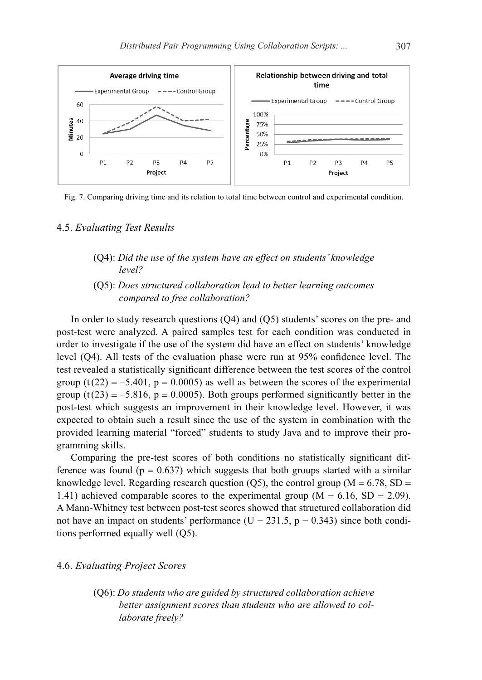

Fig. 7. Comparing driving time and its relation to total time between control and experimental condition.

#### 4.5. *Evaluating Test Results*

- (Q4): *Did the use of the system have an effect on students' knowledge level?*
- (Q5): *Does structured collaboration lead to better learning outcomes compared to free collaboration?*

In order to study research questions (Q4) and (Q5) students' scores on the pre- and post-test were analyzed. A paired samples test for each condition was conducted in order to investigate if the use of the system did have an effect on students' knowledge level (Q4). All tests of the evaluation phase were run at 95% confidence level. The test revealed a statistically significant difference between the test scores of the control group  $(t(22) = -5.401$ ,  $p = 0.0005$ ) as well as between the scores of the experimental group  $(t(23) = -5.816, p = 0.0005)$ . Both groups performed significantly better in the post-test which suggests an improvement in their knowledge level. However, it was expected to obtain such a result since the use of the system in combination with the provided learning material "forced" students to study Java and to improve their programming skills.

Comparing the pre-test scores of both conditions no statistically significant difference was found ( $p = 0.637$ ) which suggests that both groups started with a similar knowledge level. Regarding research question (Q5), the control group ( $M = 6.78$ , SD = 1.41) achieved comparable scores to the experimental group ( $M = 6.16$ , SD = 2.09). A Mann-Whitney test between post-test scores showed that structured collaboration did not have an impact on students' performance ( $U = 231.5$ ,  $p = 0.343$ ) since both conditions performed equally well (Q5).

#### 4.6. *Evaluating Project Scores*

(Q6): *Do students who are guided by structured collaboration achieve better assignment scores than students who are allowed to collaborate freely?*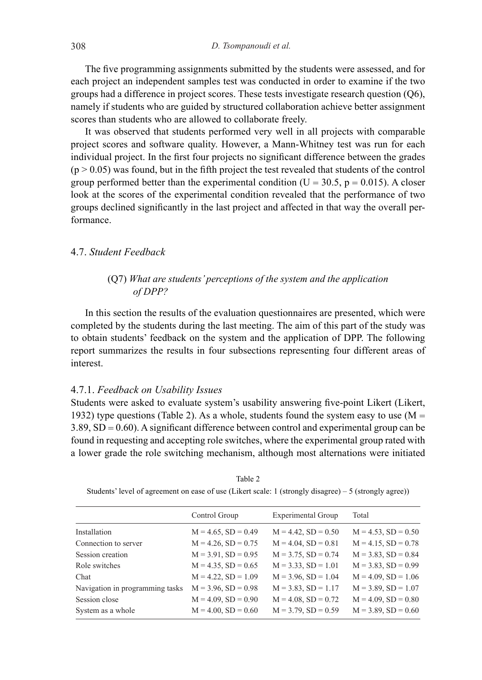The five programming assignments submitted by the students were assessed, and for each project an independent samples test was conducted in order to examine if the two groups had a difference in project scores. These tests investigate research question (Q6), namely if students who are guided by structured collaboration achieve better assignment scores than students who are allowed to collaborate freely.

It was observed that students performed very well in all projects with comparable project scores and software quality. However, a Mann-Whitney test was run for each individual project. In the first four projects no significant difference between the grades  $(p > 0.05)$  was found, but in the fifth project the test revealed that students of the control group performed better than the experimental condition ( $U = 30.5$ ,  $p = 0.015$ ). A closer look at the scores of the experimental condition revealed that the performance of two groups declined significantly in the last project and affected in that way the overall performance.

#### 4.7. *Student Feedback*

#### (Q7) *What are students' perceptions of the system and the application of DPP?*

In this section the results of the evaluation questionnaires are presented, which were completed by the students during the last meeting. The aim of this part of the study was to obtain students' feedback on the system and the application of DPP. The following report summarizes the results in four subsections representing four different areas of interest.

#### 4.7.1. *Feedback on Usability Issues*

Students were asked to evaluate system's usability answering five-point Likert (Likert, 1932) type questions (Table 2). As a whole, students found the system easy to use  $(M =$ 3.89, SD = 0.60). A significant difference between control and experimental group can be found in requesting and accepting role switches, where the experimental group rated with a lower grade the role switching mechanism, although most alternations were initiated

|                                 | Control Group            | Experimental Group       | Total                    |
|---------------------------------|--------------------------|--------------------------|--------------------------|
| Installation                    | $M = 4.65$ , $SD = 0.49$ | $M = 4.42$ , $SD = 0.50$ | $M = 4.53$ , $SD = 0.50$ |
| Connection to server            | $M = 4.26$ , $SD = 0.75$ | $M = 4.04$ , $SD = 0.81$ | $M = 4.15$ , $SD = 0.78$ |
| Session creation                | $M = 3.91$ , $SD = 0.95$ | $M = 3.75$ , $SD = 0.74$ | $M = 3.83$ , $SD = 0.84$ |
| Role switches                   | $M = 4.35$ , $SD = 0.65$ | $M = 3.33$ , $SD = 1.01$ | $M = 3.83$ , $SD = 0.99$ |
| Chat                            | $M = 4.22$ , $SD = 1.09$ | $M = 3.96$ , $SD = 1.04$ | $M = 4.09$ , $SD = 1.06$ |
| Navigation in programming tasks | $M = 3.96$ , $SD = 0.98$ | $M = 3.83$ , $SD = 1.17$ | $M = 3.89$ , $SD = 1.07$ |
| Session close                   | $M = 4.09$ , $SD = 0.90$ | $M = 4.08$ , $SD = 0.72$ | $M = 4.09$ , $SD = 0.80$ |
| System as a whole               | $M = 4.00$ , $SD = 0.60$ | $M = 3.79$ , $SD = 0.59$ | $M = 3.89$ , $SD = 0.60$ |
|                                 |                          |                          |                          |

Table 2 Students' level of agreement on ease of use (Likert scale: 1 (strongly disagree) – 5 (strongly agree))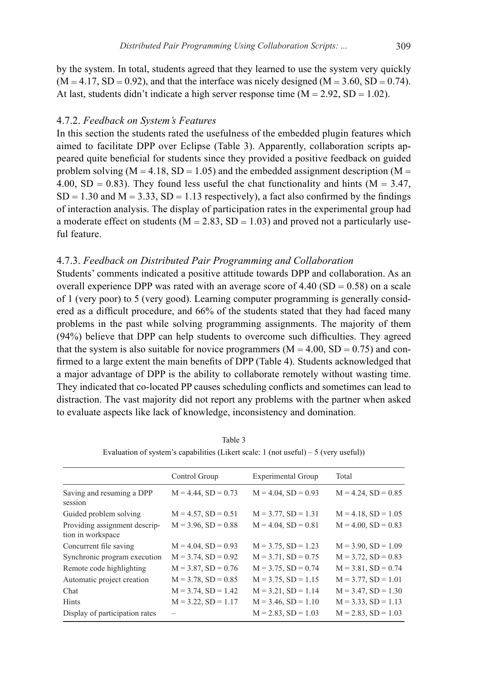by the system. In total, students agreed that they learned to use the system very quickly  $(M = 4.17, SD = 0.92)$ , and that the interface was nicely designed  $(M = 3.60, SD = 0.74)$ . At last, students didn't indicate a high server response time  $(M = 2.92, SD = 1.02)$ .

#### 4.7.2. *Feedback on System's Features*

In this section the students rated the usefulness of the embedded plugin features which aimed to facilitate DPP over Eclipse (Table 3). Apparently, collaboration scripts appeared quite beneficial for students since they provided a positive feedback on guided problem solving ( $M = 4.18$ ,  $SD = 1.05$ ) and the embedded assignment description ( $M =$ 4.00, SD = 0.83). They found less useful the chat functionality and hints ( $M = 3.47$ ,  $SD = 1.30$  and  $M = 3.33$ ,  $SD = 1.13$  respectively), a fact also confirmed by the findings of interaction analysis. The display of participation rates in the experimental group had a moderate effect on students ( $M = 2.83$ ,  $SD = 1.03$ ) and proved not a particularly useful feature.

#### 4.7.3. *Feedback on Distributed Pair Programming and Collaboration*

Students' comments indicated a positive attitude towards DPP and collaboration. As an overall experience DPP was rated with an average score of  $4.40$  (SD = 0.58) on a scale of 1 (very poor) to 5 (very good). Learning computer programming is generally considered as a difficult procedure, and 66% of the students stated that they had faced many problems in the past while solving programming assignments. The majority of them (94%) believe that DPP can help students to overcome such difficulties. They agreed that the system is also suitable for novice programmers  $(M = 4.00, SD = 0.75)$  and confirmed to a large extent the main benefits of DPP (Table 4). Students acknowledged that a major advantage of DPP is the ability to collaborate remotely without wasting time. They indicated that co-located PP causes scheduling conflicts and sometimes can lead to distraction. The vast majority did not report any problems with the partner when asked to evaluate aspects like lack of knowledge, inconsistency and domination.

|                                                    | Control Group            | <b>Experimental Group</b> | Total                    |
|----------------------------------------------------|--------------------------|---------------------------|--------------------------|
| Saving and resuming a DPP<br>session               | $M = 4.44$ , $SD = 0.73$ | $M = 4.04$ , $SD = 0.93$  | $M = 4.24$ , $SD = 0.85$ |
| Guided problem solving                             | $M = 4.57$ , $SD = 0.51$ | $M = 3.77$ , $SD = 1.31$  | $M = 4.18$ , $SD = 1.05$ |
| Providing assignment descrip-<br>tion in workspace | $M = 3.96$ , $SD = 0.88$ | $M = 4.04$ , $SD = 0.81$  | $M = 4.00$ , $SD = 0.83$ |
| Concurrent file saving                             | $M = 4.04$ , $SD = 0.93$ | $M = 3.75$ , $SD = 1.23$  | $M = 3.90$ , $SD = 1.09$ |
| Synchronic program execution                       | $M = 3.74$ , $SD = 0.92$ | $M = 3.71$ , $SD = 0.75$  | $M = 3.72$ , $SD = 0.83$ |
| Remote code highlighting                           | $M = 3.87$ , $SD = 0.76$ | $M = 3.75$ , $SD = 0.74$  | $M = 3.81$ , $SD = 0.74$ |
| Automatic project creation                         | $M = 3.78$ , $SD = 0.85$ | $M = 3.75$ , $SD = 1.15$  | $M = 3.77$ , $SD = 1.01$ |
| Chat                                               | $M = 3.74$ , $SD = 1.42$ | $M = 3.21$ , $SD = 1.14$  | $M = 3.47$ , $SD = 1.30$ |
| Hints                                              | $M = 3.22$ , $SD = 1.17$ | $M = 3.46$ , $SD = 1.10$  | $M = 3.33$ , $SD = 1.13$ |
| Display of participation rates                     |                          | $M = 2.83$ , $SD = 1.03$  | $M = 2.83$ , $SD = 1.03$ |

Table 3 Evaluation of system's capabilities (Likert scale:  $1$  (not useful) – 5 (very useful))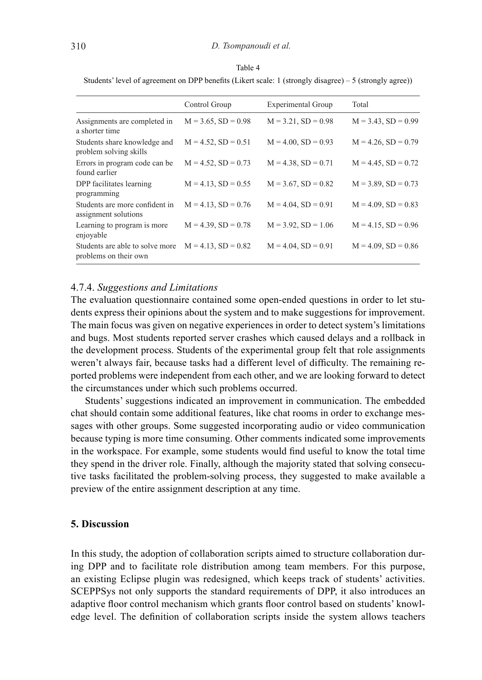#### Table 4

Students' level of agreement on DPP benefits (Likert scale: 1 (strongly disagree) – 5 (strongly agree))

| Control Group            | Experimental Group       | Total                    |
|--------------------------|--------------------------|--------------------------|
| $M = 3.65$ , $SD = 0.98$ | $M = 3.21$ , $SD = 0.98$ | $M = 3.43$ , $SD = 0.99$ |
| $M = 4.52$ , $SD = 0.51$ | $M = 4.00$ , $SD = 0.93$ | $M = 4.26$ , $SD = 0.79$ |
| $M = 4.52$ , $SD = 0.73$ | $M = 4.38$ , $SD = 0.71$ | $M = 4.45$ , $SD = 0.72$ |
| $M = 4.13$ , $SD = 0.55$ | $M = 3.67$ , $SD = 0.82$ | $M = 3.89$ , $SD = 0.73$ |
| $M = 4.13$ , $SD = 0.76$ | $M = 4.04$ , $SD = 0.91$ | $M = 4.09$ , $SD = 0.83$ |
| $M = 4.39$ , $SD = 0.78$ | $M = 3.92$ , $SD = 1.06$ | $M = 4.15$ , $SD = 0.96$ |
| $M = 4.13$ , $SD = 0.82$ | $M = 4.04$ , $SD = 0.91$ | $M = 4.09$ , $SD = 0.86$ |
|                          |                          |                          |

#### 4.7.4. *Suggestions and Limitations*

The evaluation questionnaire contained some open-ended questions in order to let students express their opinions about the system and to make suggestions for improvement. The main focus was given on negative experiences in order to detect system's limitations and bugs. Most students reported server crashes which caused delays and a rollback in the development process. Students of the experimental group felt that role assignments weren't always fair, because tasks had a different level of difficulty. The remaining reported problems were independent from each other, and we are looking forward to detect the circumstances under which such problems occurred.

Students' suggestions indicated an improvement in communication. The embedded chat should contain some additional features, like chat rooms in order to exchange messages with other groups. Some suggested incorporating audio or video communication because typing is more time consuming. Other comments indicated some improvements in the workspace. For example, some students would find useful to know the total time they spend in the driver role. Finally, although the majority stated that solving consecutive tasks facilitated the problem-solving process, they suggested to make available a preview of the entire assignment description at any time.

#### **5. Discussion**

In this study, the adoption of collaboration scripts aimed to structure collaboration during DPP and to facilitate role distribution among team members. For this purpose, an existing Eclipse plugin was redesigned, which keeps track of students' activities. SCEPPSys not only supports the standard requirements of DPP, it also introduces an adaptive floor control mechanism which grants floor control based on students' knowledge level. The definition of collaboration scripts inside the system allows teachers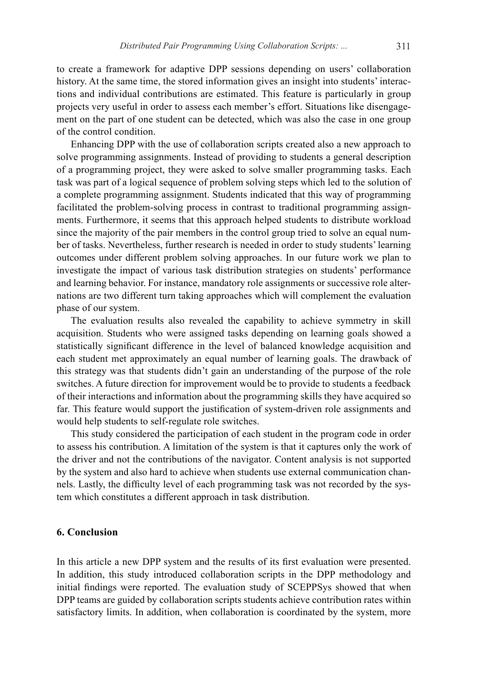to create a framework for adaptive DPP sessions depending on users' collaboration history. At the same time, the stored information gives an insight into students' interactions and individual contributions are estimated. This feature is particularly in group projects very useful in order to assess each member's effort. Situations like disengagement on the part of one student can be detected, which was also the case in one group of the control condition.

Enhancing DPP with the use of collaboration scripts created also a new approach to solve programming assignments. Instead of providing to students a general description of a programming project, they were asked to solve smaller programming tasks. Each task was part of a logical sequence of problem solving steps which led to the solution of a complete programming assignment. Students indicated that this way of programming facilitated the problem-solving process in contrast to traditional programming assignments. Furthermore, it seems that this approach helped students to distribute workload since the majority of the pair members in the control group tried to solve an equal number of tasks. Nevertheless, further research is needed in order to study students' learning outcomes under different problem solving approaches. In our future work we plan to investigate the impact of various task distribution strategies on students' performance and learning behavior. For instance, mandatory role assignments or successive role alternations are two different turn taking approaches which will complement the evaluation phase of our system.

The evaluation results also revealed the capability to achieve symmetry in skill acquisition. Students who were assigned tasks depending on learning goals showed a statistically significant difference in the level of balanced knowledge acquisition and each student met approximately an equal number of learning goals. The drawback of this strategy was that students didn't gain an understanding of the purpose of the role switches. A future direction for improvement would be to provide to students a feedback of their interactions and information about the programming skills they have acquired so far. This feature would support the justification of system-driven role assignments and would help students to self-regulate role switches.

This study considered the participation of each student in the program code in order to assess his contribution. A limitation of the system is that it captures only the work of the driver and not the contributions of the navigator. Content analysis is not supported by the system and also hard to achieve when students use external communication channels. Lastly, the difficulty level of each programming task was not recorded by the system which constitutes a different approach in task distribution.

#### **6. Conclusion**

In this article a new DPP system and the results of its first evaluation were presented. In addition, this study introduced collaboration scripts in the DPP methodology and initial findings were reported. The evaluation study of SCEPPSys showed that when DPP teams are guided by collaboration scripts students achieve contribution rates within satisfactory limits. In addition, when collaboration is coordinated by the system, more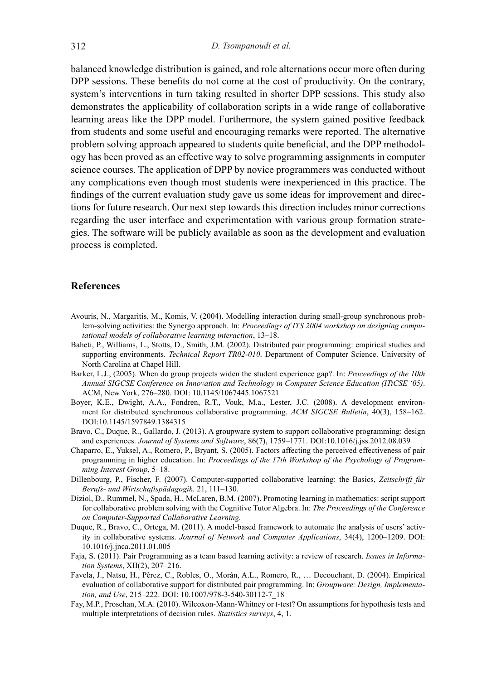balanced knowledge distribution is gained, and role alternations occur more often during DPP sessions. These benefits do not come at the cost of productivity. On the contrary, system's interventions in turn taking resulted in shorter DPP sessions. This study also demonstrates the applicability of collaboration scripts in a wide range of collaborative learning areas like the DPP model. Furthermore, the system gained positive feedback from students and some useful and encouraging remarks were reported. The alternative problem solving approach appeared to students quite beneficial, and the DPP methodology has been proved as an effective way to solve programming assignments in computer science courses. The application of DPP by novice programmers was conducted without any complications even though most students were inexperienced in this practice. The findings of the current evaluation study gave us some ideas for improvement and directions for future research. Our next step towards this direction includes minor corrections regarding the user interface and experimentation with various group formation strategies. The software will be publicly available as soon as the development and evaluation process is completed.

#### **References**

- Avouris, N., Margaritis, M., Komis, V. (2004). Modelling interaction during small-group synchronous problem-solving activities: the Synergo approach. In: *Proceedings of ITS 2004 workshop on designing computational models of collaborative learning interaction*, 13–18.
- Baheti, P., Williams, L., Stotts, D., Smith, J.M. (2002). Distributed pair programming: empirical studies and supporting environments. *Technical Report TR02-010*. Department of Computer Science. University of North Carolina at Chapel Hill.
- Barker, L.J., (2005). When do group projects widen the student experience gap?. In: *Proceedings of the 10th Annual SIGCSE Conference on Innovation and Technology in Computer Science Education (ITiCSE '05)*. ACM, New York, 276–280. DOI: 10.1145/1067445.1067521
- Boyer, K.E., Dwight, A.A., Fondren, R.T., Vouk, M.a., Lester, J.C. (2008). A development environment for distributed synchronous collaborative programming. *ACM SIGCSE Bulletin*, 40(3), 158–162. DOI:10.1145/1597849.1384315
- Bravo, C., Duque, R., Gallardo, J. (2013). A groupware system to support collaborative programming: design and experiences. *Journal of Systems and Software*, 86(7), 1759–1771. DOI:10.1016/j.jss.2012.08.039
- Chaparro, E., Yuksel, A., Romero, P., Bryant, S. (2005). Factors affecting the perceived effectiveness of pair programming in higher education. In: *Proceedings of the 17th Workshop of the Psychology of Programming Interest Group*, 5–18.
- Dillenbourg, P., Fischer, F. (2007). Computer-supported collaborative learning: the Basics, *Zeitschrift für Berufs- und Wirtschaftspädagogik.* 21, 111–130.
- Diziol, D., Rummel, N., Spada, H., McLaren, B.M. (2007). Promoting learning in mathematics: script support for collaborative problem solving with the Cognitive Tutor Algebra. In: *The Proceedings of the Conference on Computer-Supported Collaborative Learning.*
- Duque, R., Bravo, C., Ortega, M. (2011). A model-based framework to automate the analysis of users' activity in collaborative systems. *Journal of Network and Computer Applications*, 34(4), 1200–1209. DOI: 10.1016/j.jnca.2011.01.005
- Faja, S. (2011). Pair Programming as a team based learning activity: a review of research. *Issues in Information Systems*, XII(2), 207–216.
- Favela, J., Natsu, H., Pérez, C., Robles, O., Morán, A.L., Romero, R., … Decouchant, D. (2004). Empirical evaluation of collaborative support for distributed pair programming. In: *Groupware: Design, Implementation, and Use*, 215–222. DOI: 10.1007/978-3-540-30112-7\_18
- Fay, M.P., Proschan, M.A. (2010). Wilcoxon-Mann-Whitney or t-test? On assumptions for hypothesis tests and multiple interpretations of decision rules. *Statistics surveys*, 4, 1.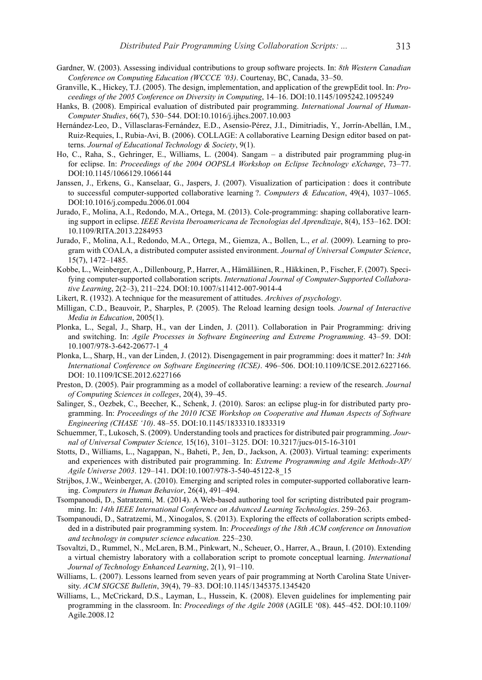- Gardner, W. (2003). Assessing individual contributions to group software projects. In: *8th Western Canadian Conference on Computing Education (WCCCE '03)*. Courtenay, BC, Canada, 33–50.
- Granville, K., Hickey, T.J. (2005). The design, implementation, and application of the grewpEdit tool. In: *Proceedings of the 2005 Conference on Diversity in Computing*, 14–16. DOI:10.1145/1095242.1095249
- Hanks, B. (2008). Empirical evaluation of distributed pair programming. *International Journal of Human-Computer Studies*, 66(7), 530–544. DOI:10.1016/j.ijhcs.2007.10.003
- Hernández-Leo, D., Villasclaras-Fernández, E.D., Asensio-Pérez, J.I., Dimitriadis, Y., Jorrín-Abellán, I.M., Ruiz-Requies, I., Rubia-Avi, B. (2006). COLLAGE: A collaborative Learning Design editor based on patterns. *Journal of Educational Technology & Society*, 9(1).
- Ho, C., Raha, S., Gehringer, E., Williams, L. (2004). Sangam a distributed pair programming plug-in for eclipse. In: *Proceedings of the 2004 OOPSLA Workshop on Eclipse Technology eXchange*, 73–77. DOI:10.1145/1066129.1066144
- Janssen, J., Erkens, G., Kanselaar, G., Jaspers, J. (2007). Visualization of participation : does it contribute to successful computer-supported collaborative learning ?. *Computers & Education*, 49(4), 1037–1065. DOI:10.1016/j.compedu.2006.01.004
- Jurado, F., Molina, A.I., Redondo, M.A., Ortega, M. (2013). Cole-programming: shaping collaborative learning support in eclipse. *IEEE Revista Iberoamericana de Tecnologias del Aprendizaje*, 8(4), 153–162. DOI: 10.1109/RITA.2013.2284953
- Jurado, F., Molina, A.I., Redondo, M.A., Ortega, M., Giemza, A., Bollen, L., *et al*. (2009). Learning to program with COALA, a distributed computer assisted environment. *Journal of Universal Computer Science*, 15(7), 1472–1485.
- Kobbe, L., Weinberger, A., Dillenbourg, P., Harrer, A., Hämäläinen, R., Häkkinen, P., Fischer, F. (2007). Specifying computer-supported collaboration scripts. *International Journal of Computer-Supported Collaborative Learning*, 2(2–3), 211–224. DOI:10.1007/s11412-007-9014-4
- Likert, R. (1932). A technique for the measurement of attitudes. *Archives of psychology*.
- Milligan, C.D., Beauvoir, P., Sharples, P. (2005). The Reload learning design tools*. Journal of Interactive Media in Education*, 2005(1).
- Plonka, L., Segal, J., Sharp, H., van der Linden, J. (2011). Collaboration in Pair Programming: driving and switching. In: *Agile Processes in Software Engineering and Extreme Programming*. 43–59. DOI: 10.1007/978-3-642-20677-1\_4
- Plonka, L., Sharp, H., van der Linden, J. (2012). Disengagement in pair programming: does it matter? In: *34th International Conference on Software Engineering (ICSE)*. 496–506. DOI:10.1109/ICSE.2012.6227166. DOI: 10.1109/ICSE.2012.6227166
- Preston, D. (2005). Pair programming as a model of collaborative learning: a review of the research. *Journal of Computing Sciences in colleges*, 20(4), 39–45.
- Salinger, S., Oezbek, C., Beecher, K., Schenk, J. (2010). Saros: an eclipse plug-in for distributed party programming. In: *Proceedings of the 2010 ICSE Workshop on Cooperative and Human Aspects of Software Engineering (CHASE '10)*. 48–55. DOI:10.1145/1833310.1833319
- Schuemmer, T., Lukosch, S. (2009). Understanding tools and practices for distributed pair programming. *Journal of Universal Computer Science,* 15(16), 3101–3125. DOI: 10.3217/jucs-015-16-3101
- Stotts, D., Williams, L., Nagappan, N., Baheti, P., Jen, D., Jackson, A. (2003). Virtual teaming: experiments and experiences with distributed pair programming. In: *Extreme Programming and Agile Methods-XP/ Agile Universe 2003*. 129–141. DOI:10.1007/978-3-540-45122-8\_15
- Strijbos, J.W., Weinberger, A. (2010). Emerging and scripted roles in computer-supported collaborative learning. *Computers in Human Behavior*, 26(4), 491–494.
- Tsompanoudi, D., Satratzemi, M. (2014). A Web-based authoring tool for scripting distributed pair programming. In: *14th IEEE International Conference on Advanced Learning Technologies*. 259–263.
- Tsompanoudi, D., Satratzemi, M., Xinogalos, S. (2013). Exploring the effects of collaboration scripts embedded in a distributed pair programming system. In: *Proceedings of the 18th ACM conference on Innovation and technology in computer science education.* 225–230.
- Tsovaltzi, D., Rummel, N., McLaren, B.M., Pinkwart, N., Scheuer, O., Harrer, A., Braun, I. (2010). Extending a virtual chemistry laboratory with a collaboration script to promote conceptual learning. *International Journal of Technology Enhanced Learning*, 2(1), 91–110.
- Williams, L. (2007). Lessons learned from seven years of pair programming at North Carolina State University. *ACM SIGCSE Bulletin*, 39(4), 79–83. DOI:10.1145/1345375.1345420
- Williams, L., McCrickard, D.S., Layman, L., Hussein, K. (2008). Eleven guidelines for implementing pair programming in the classroom. In: *Proceedings of the Agile 2008* (AGILE '08). 445–452. DOI:10.1109/ Agile.2008.12